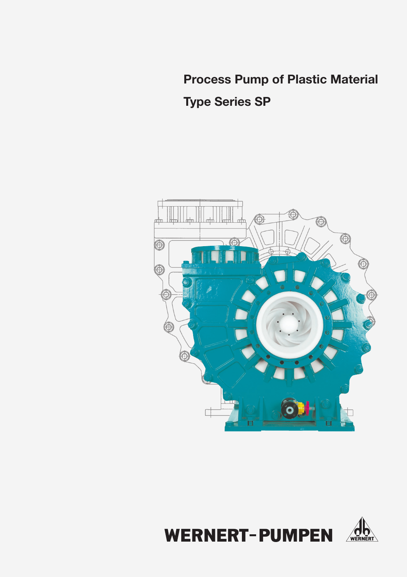# **Process Pump of Plastic Material**

**Type Series SP** 



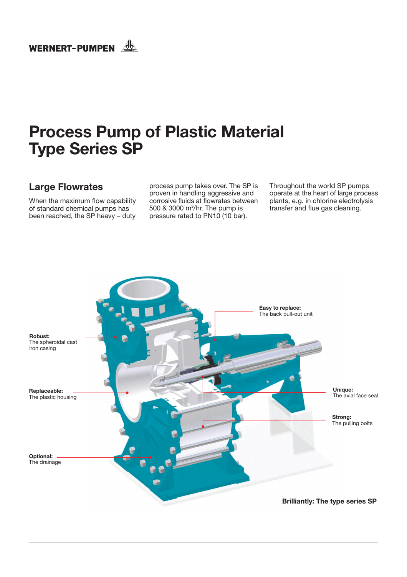# WERNERT-PUMPEN

# **Process Pump of Plastic Material Type Series SP**

## **Large Flowrates**

When the maximum flow capability of standard chemical pumps has been reached, the SP heavy - duty process pump takes over. The SP is proven in handling aggressive and corrosive fluids at flowrates between 500 & 3000 m<sup>3</sup>/hr. The pump is pressure rated to PN10 (10 bar).

Throughout the world SP pumps operate at the heart of large process plants, e.g. in chlorine electrolysis transfer and flue gas cleaning.

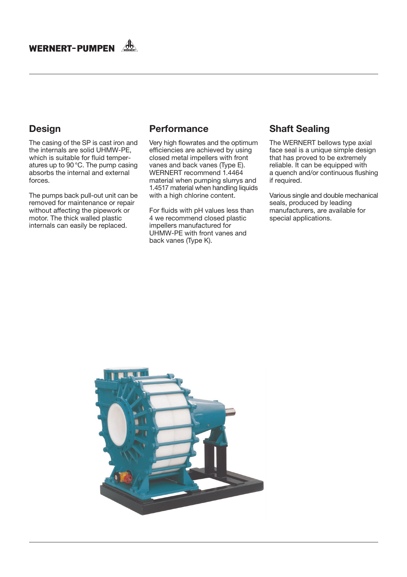

## **Design**

The casing of the SP is cast iron and the internals are solid UHMW-PE. which is suitable for fluid temperatures up to 90 °C. The pump casing absorbs the internal and external forces.

The pumps back pull-out unit can be removed for maintenance or repair without affecting the pipework or motor. The thick walled plastic internals can easily be replaced.

## **Performance**

Very high flowrates and the optimum efficiencies are achieved by using closed metal impellers with front vanes and back vanes (Type E). WERNERT recommend 1.4464 material when pumping slurrys and 1.4517 material when handling liquids with a high chlorine content.

For fluids with pH values less than 4 we recommend closed plastic impellers manufactured for UHMW-PE with front vanes and back vanes (Type K).

## **Shaft Sealing**

The WERNERT bellows type axial face seal is a unique simple design that has proved to be extremely reliable. It can be equipped with a quench and/or continuous flushing if required.

Various single and double mechanical seals, produced by leading manufacturers, are available for special applications.

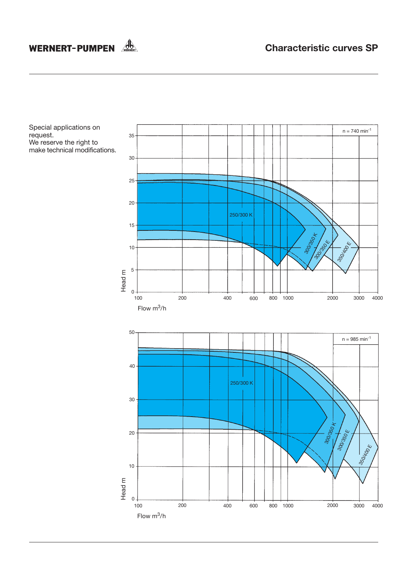# WERNERT-PUMPEN

Special applications on request. We reserve the right to<br>make technical modifications.

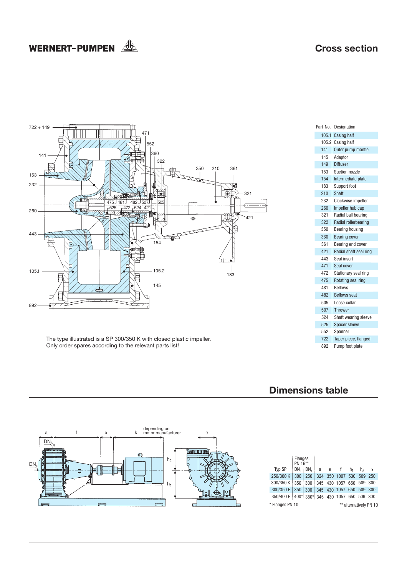## **Cross section**

# WERNERT-PUMPEN



#### **Dimensions table**